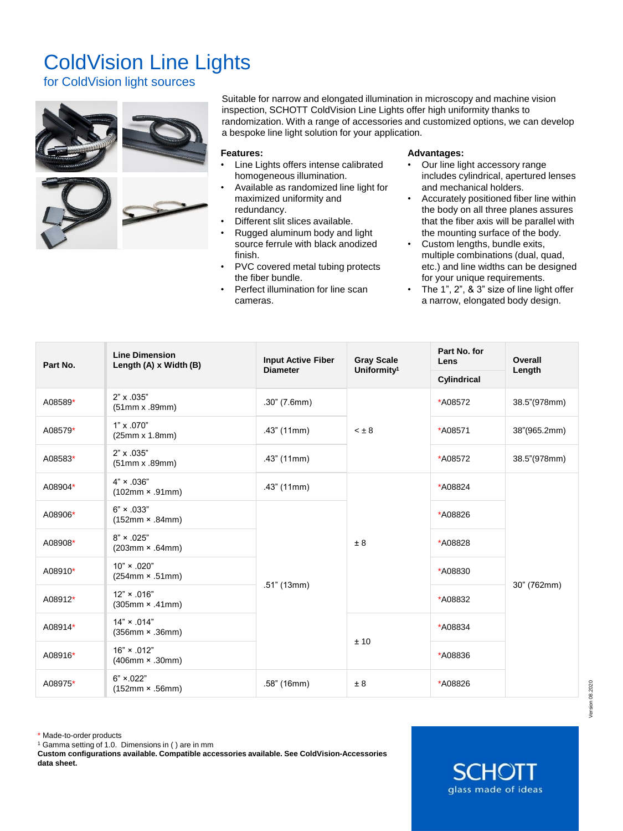## ColdVision Line Lights

for ColdVision light sources



Suitable for narrow and elongated illumination in microscopy and machine vision inspection, SCHOTT ColdVision Line Lights offer high uniformity thanks to randomization. With a range of accessories and customized options, we can develop a bespoke line light solution for your application.

## **Features:**

- Line Lights offers intense calibrated homogeneous illumination.
- Available as randomized line light for maximized uniformity and redundancy.
- Different slit slices available.
- Rugged aluminum body and light source ferrule with black anodized finish.
- PVC covered metal tubing protects the fiber bundle.
- Perfect illumination for line scan cameras.

## **Advantages:**

- Our line light accessory range includes cylindrical, apertured lenses and mechanical holders.
- Accurately positioned fiber line within the body on all three planes assures that the fiber axis will be parallel with the mounting surface of the body.
- Custom lengths, bundle exits, multiple combinations (dual, quad, etc.) and line widths can be designed for your unique requirements.
- The 1", 2", & 3" size of line light offer a narrow, elongated body design.

| Part No. | <b>Line Dimension</b><br>Length (A) x Width (B) | <b>Input Active Fiber</b><br><b>Diameter</b> | <b>Gray Scale</b><br>Uniformity <sup>1</sup> | Part No. for<br>Lens | Overall<br>Length |  |
|----------|-------------------------------------------------|----------------------------------------------|----------------------------------------------|----------------------|-------------------|--|
|          |                                                 |                                              |                                              | Cylindrical          |                   |  |
| A08589*  | 2" x .035"<br>$(51mm \times .89mm)$             | .30" (7.6mm)                                 | $< \pm 8$                                    | *A08572              | 38.5"(978mm)      |  |
| A08579*  | 1" x .070"<br>$(25mm \times 1.8mm)$             | $.43$ " (11mm)                               |                                              | *A08571              | 38"(965.2mm)      |  |
| A08583*  | 2" x .035"<br>(51mm x .89mm)                    | $.43$ " (11mm)                               |                                              | *A08572              | 38.5"(978mm)      |  |
| A08904*  | $4" \times .036"$<br>$(102mm \times .91mm)$     | .43" (11mm)                                  | ± 8                                          | *A08824              |                   |  |
| A08906*  | $6" \times 0.033"$<br>$(152mm \times .84mm)$    | .51" (13mm)                                  |                                              | *A08826              | 30" (762mm)       |  |
| A08908*  | $8" \times .025"$<br>$(203mm \times .64mm)$     |                                              |                                              | *A08828              |                   |  |
| A08910*  | $10" \times .020"$<br>$(254mm \times .51mm)$    |                                              |                                              | *A08830              |                   |  |
| A08912*  | $12" \times .016"$<br>$(305mm \times .41mm)$    |                                              |                                              | *A08832              |                   |  |
| A08914*  | $14" \times .014"$<br>$(356mm \times .36mm)$    |                                              | ±10                                          | *A08834              |                   |  |
| A08916*  | $16" \times .012"$<br>$(406$ mm × .30mm)        |                                              |                                              | *A08836              |                   |  |
| A08975*  | $6" \times 022"$<br>$(152mm \times .56mm)$      | .58" (16mm)                                  | ± 8                                          | *A08826              |                   |  |

\* Made-to-order products

<sup>1</sup> Gamma setting of 1.0. Dimensions in ( ) are in mm

**Custom configurations available. Compatible accessories available. See ColdVision-Accessories data sheet.**

 $\Box$  HU glass made of ideas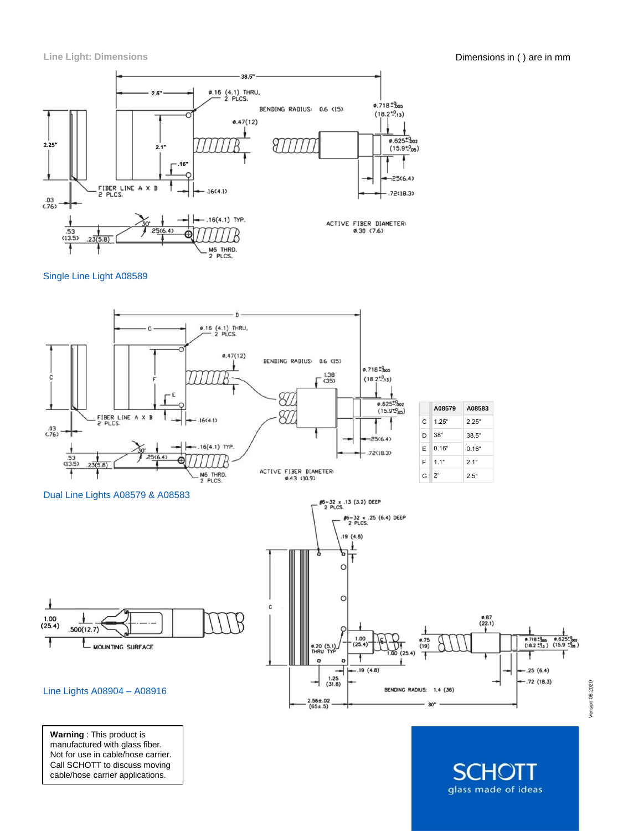

Single Line Light A08589



**Warning** : This product is manufactured with glass fiber. Not for use in cable/hose carrier. Call SCHOTT to discuss moving cable/hose carrier applications.

HOH glass made of ideas Version 08.2020

Version 08.2020